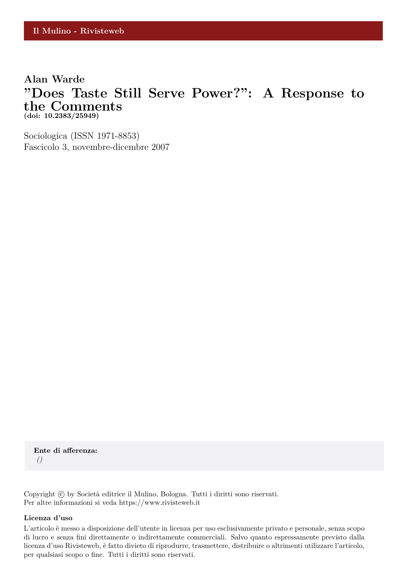# **Alan Warde "Does Taste Still Serve Power?": A Response to the Comments (doi: 10.2383/25949)**

Sociologica (ISSN 1971-8853) Fascicolo 3, novembre-dicembre 2007

**Ente di afferenza:** *()*

Copyright © by Società editrice il Mulino, Bologna. Tutti i diritti sono riservati. Per altre informazioni si veda https://www.rivisteweb.it

#### **Licenza d'uso**

L'articolo è messo a disposizione dell'utente in licenza per uso esclusivamente privato e personale, senza scopo di lucro e senza fini direttamente o indirettamente commerciali. Salvo quanto espressamente previsto dalla licenza d'uso Rivisteweb, è fatto divieto di riprodurre, trasmettere, distribuire o altrimenti utilizzare l'articolo, per qualsiasi scopo o fine. Tutti i diritti sono riservati.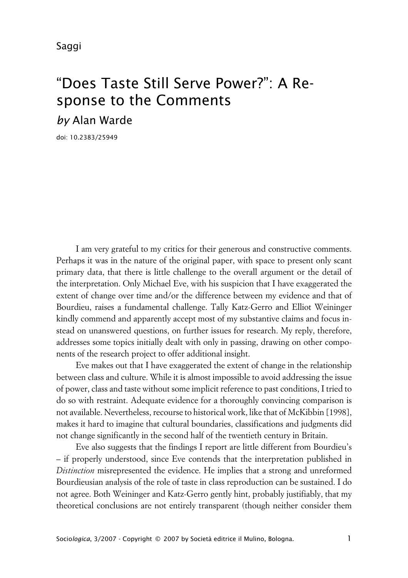# "Does Taste Still Serve Power?": A Response to the Comments *by* Alan Warde

doi: 10.2383/25949

I am very grateful to my critics for their generous and constructive comments. Perhaps it was in the nature of the original paper, with space to present only scant primary data, that there is little challenge to the overall argument or the detail of the interpretation. Only Michael Eve, with his suspicion that I have exaggerated the extent of change over time and/or the difference between my evidence and that of Bourdieu, raises a fundamental challenge. Tally Katz-Gerro and Elliot Weininger kindly commend and apparently accept most of my substantive claims and focus instead on unanswered questions, on further issues for research. My reply, therefore, addresses some topics initially dealt with only in passing, drawing on other components of the research project to offer additional insight.

Eve makes out that I have exaggerated the extent of change in the relationship between class and culture. While it is almost impossible to avoid addressing the issue of power, class and taste without some implicit reference to past conditions, I tried to do so with restraint. Adequate evidence for a thoroughly convincing comparison is not available. Nevertheless, recourse to historical work, like that of McKibbin [1998], makes it hard to imagine that cultural boundaries, classifications and judgments did not change significantly in the second half of the twentieth century in Britain.

Eve also suggests that the findings I report are little different from Bourdieu's – if properly understood, since Eve contends that the interpretation published in *Distinction* misrepresented the evidence. He implies that a strong and unreformed Bourdieusian analysis of the role of taste in class reproduction can be sustained. I do not agree. Both Weininger and Katz-Gerro gently hint, probably justifiably, that my theoretical conclusions are not entirely transparent (though neither consider them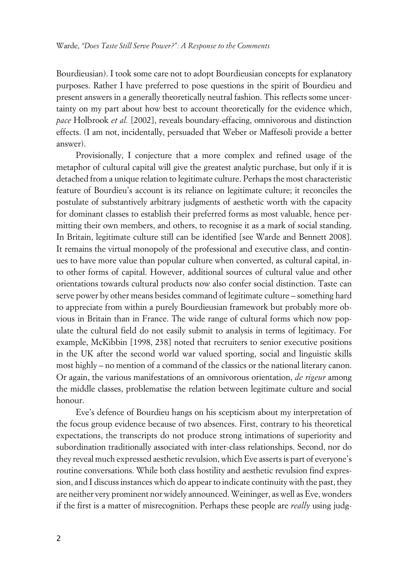Bourdieusian). I took some care not to adopt Bourdieusian concepts for explanatory purposes. Rather I have preferred to pose questions in the spirit of Bourdieu and present answers in a generally theoretically neutral fashion. This reflects some uncertainty on my part about how best to account theoretically for the evidence which, *pace* Holbrook *et al.* [2002], reveals boundary-effacing, omnivorous and distinction effects. (I am not, incidentally, persuaded that Weber or Maffesoli provide a better answer).

Provisionally, I conjecture that a more complex and refined usage of the metaphor of cultural capital will give the greatest analytic purchase, but only if it is detached from a unique relation to legitimate culture. Perhaps the most characteristic feature of Bourdieu's account is its reliance on legitimate culture; it reconciles the postulate of substantively arbitrary judgments of aesthetic worth with the capacity for dominant classes to establish their preferred forms as most valuable, hence permitting their own members, and others, to recognise it as a mark of social standing. In Britain, legitimate culture still can be identified [see Warde and Bennett 2008]. It remains the virtual monopoly of the professional and executive class, and continues to have more value than popular culture when converted, as cultural capital, into other forms of capital. However, additional sources of cultural value and other orientations towards cultural products now also confer social distinction. Taste can serve power by other means besides command of legitimate culture – something hard to appreciate from within a purely Bourdieusian framework but probably more obvious in Britain than in France. The wide range of cultural forms which now populate the cultural field do not easily submit to analysis in terms of legitimacy. For example, McKibbin [1998, 238] noted that recruiters to senior executive positions in the UK after the second world war valued sporting, social and linguistic skills most highly – no mention of a command of the classics or the national literary canon. Or again, the various manifestations of an omnivorous orientation, *de rigeur* among the middle classes, problematise the relation between legitimate culture and social honour.

Eve's defence of Bourdieu hangs on his scepticism about my interpretation of the focus group evidence because of two absences. First, contrary to his theoretical expectations, the transcripts do not produce strong intimations of superiority and subordination traditionally associated with inter-class relationships. Second, nor do they reveal much expressed aesthetic revulsion, which Eve asserts is part of everyone's routine conversations. While both class hostility and aesthetic revulsion find expression, and I discuss instances which do appear to indicate continuity with the past, they are neither very prominent nor widely announced. Weininger, as well as Eve, wonders if the first is a matter of misrecognition. Perhaps these people are *really* using judg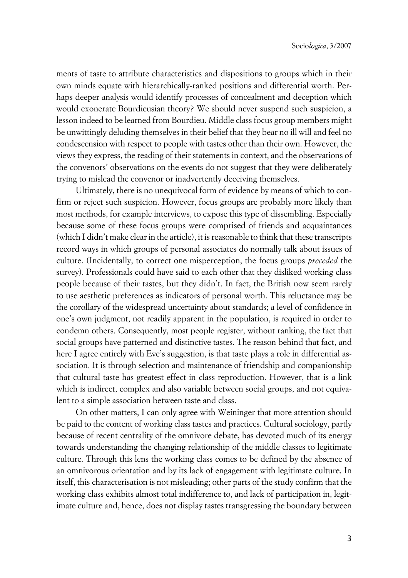ments of taste to attribute characteristics and dispositions to groups which in their own minds equate with hierarchically-ranked positions and differential worth. Perhaps deeper analysis would identify processes of concealment and deception which would exonerate Bourdieusian theory? We should never suspend such suspicion, a lesson indeed to be learned from Bourdieu. Middle class focus group members might be unwittingly deluding themselves in their belief that they bear no ill will and feel no condescension with respect to people with tastes other than their own. However, the views they express, the reading of their statements in context, and the observations of the convenors' observations on the events do not suggest that they were deliberately trying to mislead the convenor or inadvertently deceiving themselves.

Ultimately, there is no unequivocal form of evidence by means of which to confirm or reject such suspicion. However, focus groups are probably more likely than most methods, for example interviews, to expose this type of dissembling. Especially because some of these focus groups were comprised of friends and acquaintances (which I didn't make clear in the article), it is reasonable to think that these transcripts record ways in which groups of personal associates do normally talk about issues of culture. (Incidentally, to correct one misperception, the focus groups *preceded* the survey). Professionals could have said to each other that they disliked working class people because of their tastes, but they didn't. In fact, the British now seem rarely to use aesthetic preferences as indicators of personal worth. This reluctance may be the corollary of the widespread uncertainty about standards; a level of confidence in one's own judgment, not readily apparent in the population, is required in order to condemn others. Consequently, most people register, without ranking, the fact that social groups have patterned and distinctive tastes. The reason behind that fact, and here I agree entirely with Eve's suggestion, is that taste plays a role in differential association. It is through selection and maintenance of friendship and companionship that cultural taste has greatest effect in class reproduction. However, that is a link which is indirect, complex and also variable between social groups, and not equivalent to a simple association between taste and class.

On other matters, I can only agree with Weininger that more attention should be paid to the content of working class tastes and practices. Cultural sociology, partly because of recent centrality of the omnivore debate, has devoted much of its energy towards understanding the changing relationship of the middle classes to legitimate culture. Through this lens the working class comes to be defined by the absence of an omnivorous orientation and by its lack of engagement with legitimate culture. In itself, this characterisation is not misleading; other parts of the study confirm that the working class exhibits almost total indifference to, and lack of participation in, legitimate culture and, hence, does not display tastes transgressing the boundary between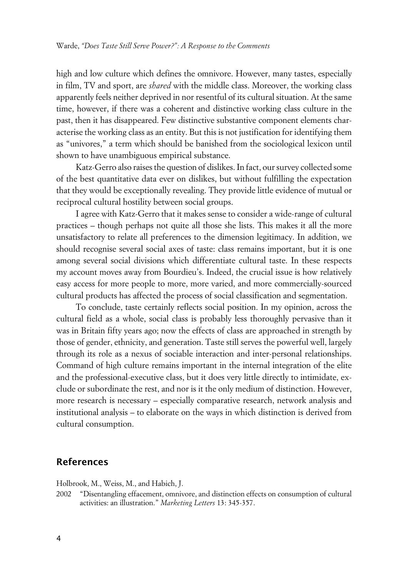high and low culture which defines the omnivore. However, many tastes, especially in film, TV and sport, are *shared* with the middle class. Moreover, the working class apparently feels neither deprived in nor resentful of its cultural situation. At the same time, however, if there was a coherent and distinctive working class culture in the past, then it has disappeared. Few distinctive substantive component elements characterise the working class as an entity. But this is not justification for identifying them as "univores," a term which should be banished from the sociological lexicon until shown to have unambiguous empirical substance.

Katz-Gerro also raises the question of dislikes. In fact, our survey collected some of the best quantitative data ever on dislikes, but without fulfilling the expectation that they would be exceptionally revealing. They provide little evidence of mutual or reciprocal cultural hostility between social groups.

I agree with Katz-Gerro that it makes sense to consider a wide-range of cultural practices – though perhaps not quite all those she lists. This makes it all the more unsatisfactory to relate all preferences to the dimension legitimacy. In addition, we should recognise several social axes of taste: class remains important, but it is one among several social divisions which differentiate cultural taste. In these respects my account moves away from Bourdieu's. Indeed, the crucial issue is how relatively easy access for more people to more, more varied, and more commercially-sourced cultural products has affected the process of social classification and segmentation.

To conclude, taste certainly reflects social position. In my opinion, across the cultural field as a whole, social class is probably less thoroughly pervasive than it was in Britain fifty years ago; now the effects of class are approached in strength by those of gender, ethnicity, and generation. Taste still serves the powerful well, largely through its role as a nexus of sociable interaction and inter-personal relationships. Command of high culture remains important in the internal integration of the elite and the professional-executive class, but it does very little directly to intimidate, exclude or subordinate the rest, and nor is it the only medium of distinction. However, more research is necessary – especially comparative research, network analysis and institutional analysis – to elaborate on the ways in which distinction is derived from cultural consumption.

### **References**

Holbrook, M., Weiss, M., and Habich, J.

2002 "Disentangling effacement, omnivore, and distinction effects on consumption of cultural activities: an illustration." *Marketing Letters* 13: 345-357.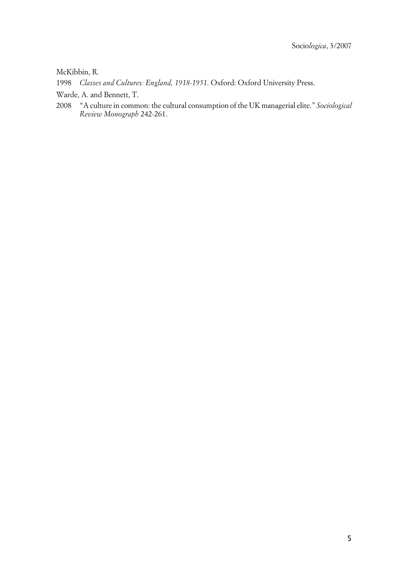McKibbin, R.

1998 *Classes and Cultures: England, 1918-1951*. Oxford: Oxford University Press.

- Warde, A. and Bennett, T.
- 2008 "A culture in common: the cultural consumption of the UK managerial elite." *Sociological Review Monograph* 242-261.